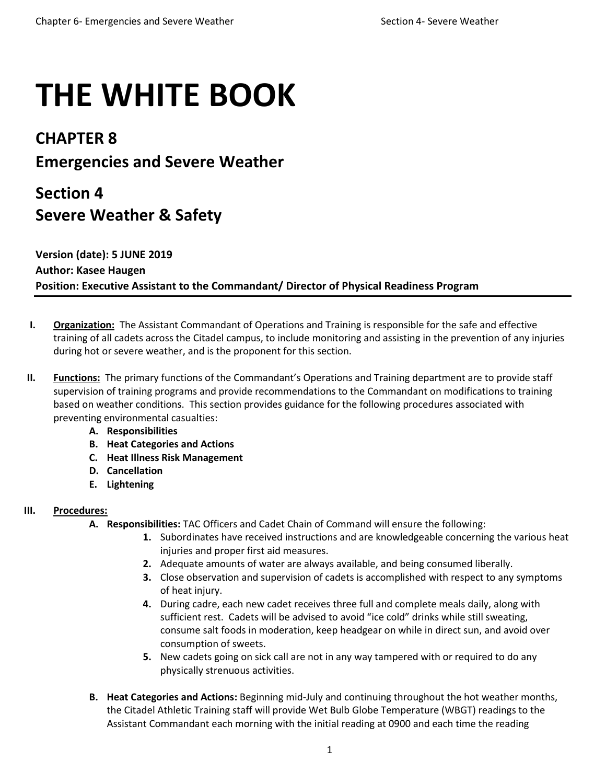# **THE WHITE BOOK**

## **CHAPTER 8 Emergencies and Severe Weather**

## **Section 4 Severe Weather & Safety**

### **Version (date): 5 JUNE 2019 Author: Kasee Haugen Position: Executive Assistant to the Commandant/ Director of Physical Readiness Program**

- **I. Organization:** The Assistant Commandant of Operations and Training is responsible for the safe and effective training of all cadets across the Citadel campus, to include monitoring and assisting in the prevention of any injuries during hot or severe weather, and is the proponent for this section.
- **II. Functions:** The primary functions of the Commandant's Operations and Training department are to provide staff supervision of training programs and provide recommendations to the Commandant on modifications to training based on weather conditions. This section provides guidance for the following procedures associated with preventing environmental casualties:
	- **A. Responsibilities**
	- **B. Heat Categories and Actions**
	- **C. Heat Illness Risk Management**
	- **D. Cancellation**
	- **E. Lightening**

#### **III. Procedures:**

- **A. Responsibilities:** TAC Officers and Cadet Chain of Command will ensure the following:
	- **1.** Subordinates have received instructions and are knowledgeable concerning the various heat injuries and proper first aid measures.
	- **2.** Adequate amounts of water are always available, and being consumed liberally.
	- **3.** Close observation and supervision of cadets is accomplished with respect to any symptoms of heat injury.
	- **4.** During cadre, each new cadet receives three full and complete meals daily, along with sufficient rest. Cadets will be advised to avoid "ice cold" drinks while still sweating, consume salt foods in moderation, keep headgear on while in direct sun, and avoid over consumption of sweets.
	- **5.** New cadets going on sick call are not in any way tampered with or required to do any physically strenuous activities.
- **B. Heat Categories and Actions:** Beginning mid-July and continuing throughout the hot weather months, the Citadel Athletic Training staff will provide Wet Bulb Globe Temperature (WBGT) readings to the Assistant Commandant each morning with the initial reading at 0900 and each time the reading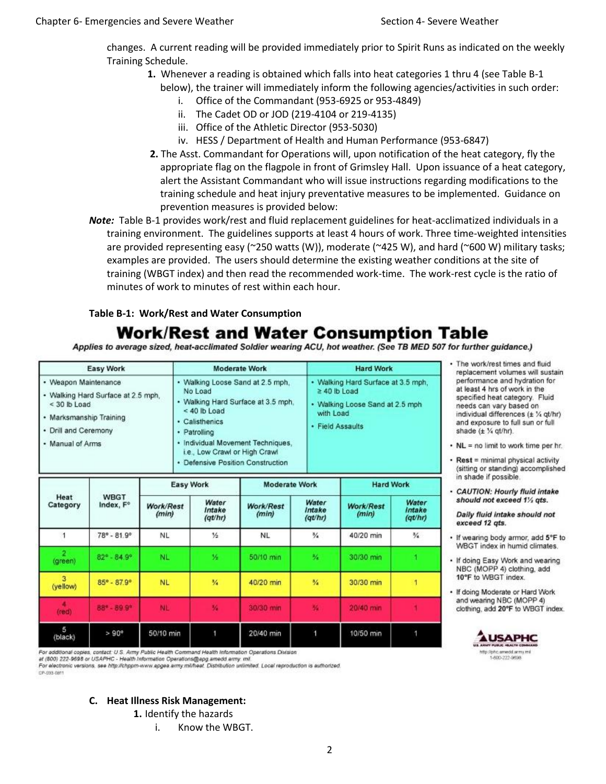changes. A current reading will be provided immediately prior to Spirit Runs as indicated on the weekly Training Schedule.

- **1.** Whenever a reading is obtained which falls into heat categories 1 thru 4 (see Table B-1
	- below), the trainer will immediately inform the following agencies/activities in such order: i. Office of the Commandant (953-6925 or 953-4849)
		- ii. The Cadet OD or JOD (219-4104 or 219-4135)
		- iii. Office of the Athletic Director (953-5030)
		- iv. HESS / Department of Health and Human Performance (953-6847)
- **2.** The Asst. Commandant for Operations will, upon notification of the heat category, fly the appropriate flag on the flagpole in front of Grimsley Hall. Upon issuance of a heat category, alert the Assistant Commandant who will issue instructions regarding modifications to the training schedule and heat injury preventative measures to be implemented. Guidance on prevention measures is provided below:
- *Note:* Table B-1 provides work/rest and fluid replacement guidelines for heat-acclimatized individuals in a training environment. The guidelines supports at least 4 hours of work. Three time-weighted intensities are provided representing easy (~250 watts (W)), moderate (~425 W), and hard (~600 W) military tasks; examples are provided. The users should determine the existing weather conditions at the site of training (WBGT index) and then read the recommended work-time. The work-rest cycle is the ratio of minutes of work to minutes of rest within each hour.

#### **Table B-1: Work/Rest and Water Consumption**

## **Work/Rest and Water Consumption Table**

Applies to average sized, heat-acclimated Soldier wearing ACU, hot weather. (See TB MED 507 for further guidance.)

| Easy Work                                                                                                                                           | <b>Moderate Work</b>                                                                                                                                                                                                                             | <b>Hard Work</b>                                                                                                            |
|-----------------------------------------------------------------------------------------------------------------------------------------------------|--------------------------------------------------------------------------------------------------------------------------------------------------------------------------------------------------------------------------------------------------|-----------------------------------------------------------------------------------------------------------------------------|
| • Weapon Maintenance<br>• Walking Hard Surface at 2.5 mph.<br>$<$ 30 lb Load<br>· Marksmanship Training<br>• Drill and Ceremony<br>• Manual of Arms | • Walking Loose Sand at 2.5 mph.<br>No Load<br>• Walking Hard Surface at 3.5 mph.<br>$<$ 40 lb Load<br>· Calisthenics<br>· Patrolling<br>· Individual Movement Techniques.<br>i.e., Low Crawl or High Crawl<br>· Defensive Position Construction | • Walking Hard Surface at 3.5 mph,<br>$\geq 40$ lb Load<br>· Walking Loose Sand at 2.5 mph<br>with Load<br>· Field Assaults |
|                                                                                                                                                     | <b>Advertisement Addressed</b><br>Florence MA for other                                                                                                                                                                                          | <b>Administrative Controller</b>                                                                                            |

| Heat<br>Category | <b>WBGT</b><br>Index, F°    | <b>Easy Work</b>   |                            | <b>Moderate Work</b> |                            | <b>Hard Work</b>          |                            |
|------------------|-----------------------------|--------------------|----------------------------|----------------------|----------------------------|---------------------------|----------------------------|
|                  |                             | Work/Rest<br>(min) | Water<br>Intake<br>(qt/hr) | Work/Rest<br>(min)   | Water<br>Intake<br>(qt/hr) | <b>Work/Rest</b><br>(min) | Water<br>Intake<br>(qt/hr) |
|                  | $78^{\circ} - 81.9^{\circ}$ | NL.                | $\frac{1}{2}$              | <b>NL</b>            | $\frac{3}{4}$              | 40/20 min                 | $\frac{3}{4}$              |
| (green)          | $82^{\circ} - 84.9^{\circ}$ | NL.                | ×                          | 50/10 min            | 验                          | 30/30 min                 |                            |
| з<br>(yellow)    | 85° - 87.9°                 | <b>NL</b>          | %                          | 40/20 min            | %                          | 30/30 min                 |                            |
| (red)            | 88* - 89.9*                 | <b>NL</b>          | 拓                          | 30/30 min            | 解                          | 20/40 min                 |                            |
| 5<br>(black)     | $> 90^\circ$                | 50/10 min          |                            | 20/40 min            |                            | 10/50 min                 |                            |

at (800) 222-9698 or USAPHC - Health Information Operations@apg.amedd.army. mil.

For electronic versions, see http://chppm-www.apgea.army.mi/heat\_Distribution unlimited\_Local reproduction is authorized.

CP-033-0811

#### **C. Heat Illness Risk Management:**

**1.** Identify the hazards

i. Know the WBGT.

- · The work/rest times and fluid replacement volumes will sustain performance and hydration for at least 4 hrs of work in the specified heat category. Fluid needs can vary based on individual differences (± % qt/hr) and exposure to full sun or full shade (± 1/4 qt/hr).
- NL = no limit to work time per hr.
- Rest = minimal physical activity (sitting or standing) accomplished in shade if possible.
- CAUTION: Hourly fluid intake should not exceed 11/2 ats.

Daily fluid intake should not exceed 12 ats.

- · If wearing body armor, add 5°F to WBGT index in humid climates.
- . If doing Easy Work and wearing NBC (MOPP 4) clothing, add 10°F to WBGT index.
- . If doing Moderate or Hard Work and wearing NBC (MOPP 4) clothing, add 20°F to WBGT index.

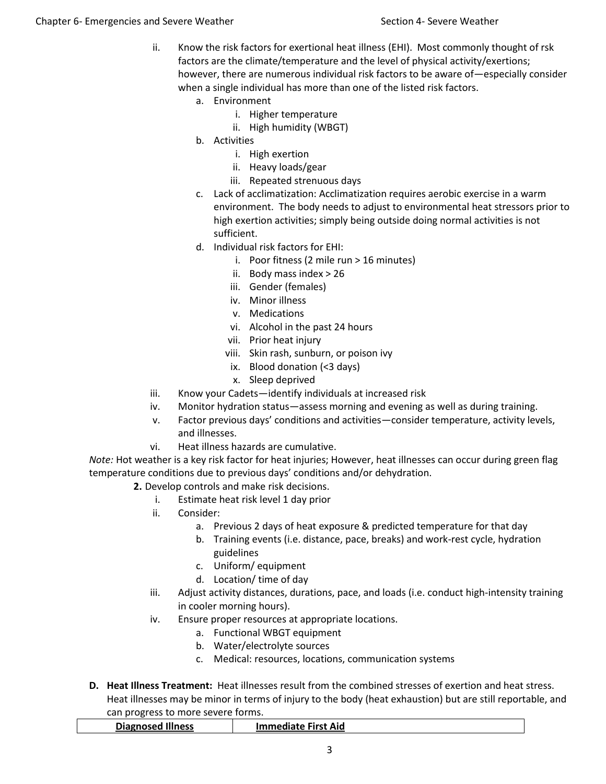- ii. Know the risk factors for exertional heat illness (EHI). Most commonly thought of rsk factors are the climate/temperature and the level of physical activity/exertions; however, there are numerous individual risk factors to be aware of—especially consider when a single individual has more than one of the listed risk factors.
	- a. Environment
		- i. Higher temperature
		- ii. High humidity (WBGT)
	- b. Activities
		- i. High exertion
		- ii. Heavy loads/gear
		- iii. Repeated strenuous days
	- c. Lack of acclimatization: Acclimatization requires aerobic exercise in a warm environment. The body needs to adjust to environmental heat stressors prior to high exertion activities; simply being outside doing normal activities is not sufficient.
	- d. Individual risk factors for EHI:
		- i. Poor fitness (2 mile run > 16 minutes)
		- ii. Body mass index > 26
		- iii. Gender (females)
		- iv. Minor illness
		- v. Medications
		- vi. Alcohol in the past 24 hours
		- vii. Prior heat injury
		- viii. Skin rash, sunburn, or poison ivy
		- ix. Blood donation (<3 days)
		- x. Sleep deprived
- iii. Know your Cadets—identify individuals at increased risk
- iv. Monitor hydration status—assess morning and evening as well as during training.
- v. Factor previous days' conditions and activities—consider temperature, activity levels, and illnesses.
- vi. Heat illness hazards are cumulative.

*Note:* Hot weather is a key risk factor for heat injuries; However, heat illnesses can occur during green flag temperature conditions due to previous days' conditions and/or dehydration.

- **2.** Develop controls and make risk decisions.
	- i. Estimate heat risk level 1 day prior
	- ii. Consider:
		- a. Previous 2 days of heat exposure & predicted temperature for that day
		- b. Training events (i.e. distance, pace, breaks) and work-rest cycle, hydration guidelines
		- c. Uniform/ equipment
		- d. Location/ time of day
	- iii. Adjust activity distances, durations, pace, and loads (i.e. conduct high-intensity training in cooler morning hours).
	- iv. Ensure proper resources at appropriate locations.
		- a. Functional WBGT equipment
		- b. Water/electrolyte sources
		- c. Medical: resources, locations, communication systems
- **D. Heat Illness Treatment:** Heat illnesses result from the combined stresses of exertion and heat stress. Heat illnesses may be minor in terms of injury to the body (heat exhaustion) but are still reportable, and can progress to more severe forms.

| <b>Diagnosed Illness</b> | <b>First Aid</b><br>$\sim$ 1.000 meV $\sim$ 1.000 meV $\sim$ 1.000 meV $\sim$ 1.000 meV $\sim$ 1.000 meV $\sim$ 1.000 meV $\sim$ 1.000 meV $\sim$ 1.000 meV $\sim$ 1.000 meV $\sim$ 1.000 meV $\sim$ 1.000 meV $\sim$ 1.000 meV $\sim$ 1.000 meV $\sim$ 1.000 meV $\sim$ 1.000<br>ате |
|--------------------------|---------------------------------------------------------------------------------------------------------------------------------------------------------------------------------------------------------------------------------------------------------------------------------------|
|                          |                                                                                                                                                                                                                                                                                       |